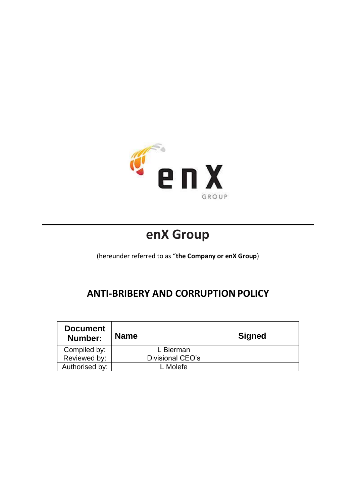

# **enX Group**

(hereunder referred to as "**the Company or enX Group**)

## **ANTI-BRIBERY AND CORRUPTION POLICY**

| <b>Document</b><br>Number: | <b>Name</b>      | <b>Signed</b> |
|----------------------------|------------------|---------------|
| Compiled by:               | L Bierman        |               |
| Reviewed by:               | Divisional CEO's |               |
| Authorised by:             | . Molefe         |               |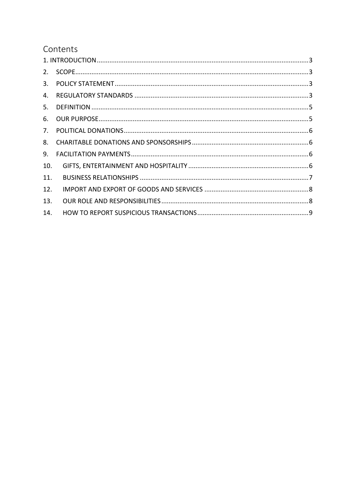## Contents

| 2.  |  |
|-----|--|
| 3.  |  |
| 4.  |  |
| 5.  |  |
| 6.  |  |
| 7.  |  |
| 8.  |  |
| 9.  |  |
| 10. |  |
| 11. |  |
| 12. |  |
| 13. |  |
| 14. |  |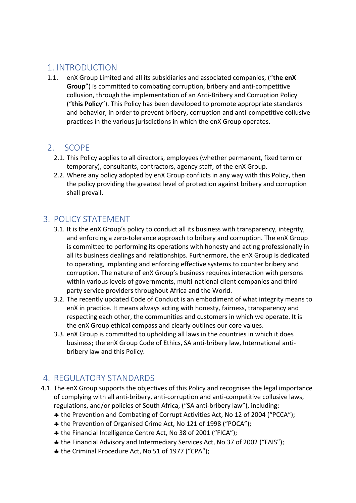#### 1. INTRODUCTION

1.1. enX Group Limited and all its subsidiaries and associated companies, ("**the enX Group**") is committed to combating corruption, bribery and anti-competitive collusion, through the implementation of an Anti-Bribery and Corruption Policy ("**this Policy**"). This Policy has been developed to promote appropriate standards and behavior, in order to prevent bribery, corruption and anti-competitive collusive practices in the various jurisdictions in which the enX Group operates.

#### 2. SCOPE

- 2.1. This Policy applies to all directors, employees (whether permanent, fixed term or temporary), consultants, contractors, agency staff, of the enX Group.
- 2.2. Where any policy adopted by enX Group conflicts in any way with this Policy, then the policy providing the greatest level of protection against bribery and corruption shall prevail.

#### 3. POLICY STATEMENT

- 3.1. It is the enX Group's policy to conduct all its business with transparency, integrity, and enforcing a zero-tolerance approach to bribery and corruption. The enX Group is committed to performing its operations with honesty and acting professionally in all its business dealings and relationships. Furthermore, the enX Group is dedicated to operating, implanting and enforcing effective systems to counter bribery and corruption. The nature of enX Group's business requires interaction with persons within various levels of governments, multi-national client companies and thirdparty service providers throughout Africa and the World.
- 3.2. The recently updated Code of Conduct is an embodiment of what integrity means to enX in practice. It means always acting with honesty, fairness, transparency and respecting each other, the communities and customers in which we operate. It is the enX Group ethical compass and clearly outlines our core values.
- 3.3. enX Group is committed to upholding all laws in the countries in which it does business; the enX Group Code of Ethics, SA anti-bribery law, International antibribery law and this Policy.

## 4. REGULATORY STANDARDS

- 4.1. The enX Group supports the objectives of this Policy and recognises the legal importance of complying with all anti-bribery, anti-corruption and anti-competitive collusive laws, regulations, and/or policies of South Africa, ("SA anti-bribery law"), including:
	- the Prevention and Combating of Corrupt Activities Act, No 12 of 2004 ("PCCA");
	- the Prevention of Organised Crime Act, No 121 of 1998 ("POCA");
	- the Financial Intelligence Centre Act, No 38 of 2001 ("FICA");
	- the Financial Advisory and Intermediary Services Act, No 37 of 2002 ("FAIS");
	- the Criminal Procedure Act, No 51 of 1977 ("CPA");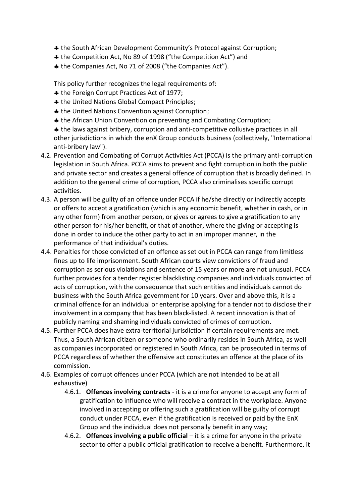- the South African Development Community's Protocol against Corruption;
- the Competition Act, No 89 of 1998 ("the Competition Act") and
- the Companies Act, No 71 of 2008 ("the Companies Act").

This policy further recognizes the legal requirements of:

- $*$  the Foreign Corrupt Practices Act of 1977;
- **A** the United Nations Global Compact Principles;
- $\clubsuit$  the United Nations Convention against Corruption;
- \* the African Union Convention on preventing and Combating Corruption;

 the laws against bribery, corruption and anti-competitive collusive practices in all other jurisdictions in which the enX Group conducts business (collectively, "International anti-bribery law").

- 4.2. Prevention and Combating of Corrupt Activities Act (PCCA) is the primary anti-corruption legislation in South Africa. PCCA aims to prevent and fight corruption in both the public and private sector and creates a general offence of corruption that is broadly defined. In addition to the general crime of corruption, PCCA also criminalises specific corrupt activities.
- 4.3. A person will be guilty of an offence under PCCA if he/she directly or indirectly accepts or offers to accept a gratification (which is any economic benefit, whether in cash, or in any other form) from another person, or gives or agrees to give a gratification to any other person for his/her benefit, or that of another, where the giving or accepting is done in order to induce the other party to act in an improper manner, in the performance of that individual's duties.
- 4.4. Penalties for those convicted of an offence as set out in PCCA can range from limitless fines up to life imprisonment. South African courts view convictions of fraud and corruption as serious violations and sentence of 15 years or more are not unusual. PCCA further provides for a tender register blacklisting companies and individuals convicted of acts of corruption, with the consequence that such entities and individuals cannot do business with the South Africa government for 10 years. Over and above this, it is a criminal offence for an individual or enterprise applying for a tender not to disclose their involvement in a company that has been black-listed. A recent innovation is that of publicly naming and shaming individuals convicted of crimes of corruption.
- 4.5. Further PCCA does have extra-territorial jurisdiction if certain requirements are met. Thus, a South African citizen or someone who ordinarily resides in South Africa, as well as companies incorporated or registered in South Africa, can be prosecuted in terms of PCCA regardless of whether the offensive act constitutes an offence at the place of its commission.
- 4.6. Examples of corrupt offences under PCCA (which are not intended to be at all exhaustive)
	- 4.6.1. **Offences involving contracts** it is a crime for anyone to accept any form of gratification to influence who will receive a contract in the workplace. Anyone involved in accepting or offering such a gratification will be guilty of corrupt conduct under PCCA, even if the gratification is received or paid by the EnX Group and the individual does not personally benefit in any way;
	- 4.6.2. **Offences involving a public official** it is a crime for anyone in the private sector to offer a public official gratification to receive a benefit. Furthermore, it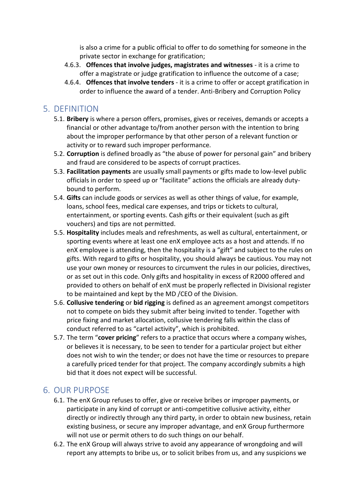is also a crime for a public official to offer to do something for someone in the private sector in exchange for gratification;

- 4.6.3. **Offences that involve judges, magistrates and witnesses** it is a crime to offer a magistrate or judge gratification to influence the outcome of a case;
- 4.6.4. **Offences that involve tenders** it is a crime to offer or accept gratification in order to influence the award of a tender. Anti-Bribery and Corruption Policy

#### 5. DEFINITION

- 5.1. **Bribery** is where a person offers, promises, gives or receives, demands or accepts a financial or other advantage to/from another person with the intention to bring about the improper performance by that other person of a relevant function or activity or to reward such improper performance.
- 5.2. **Corruption** is defined broadly as "the abuse of power for personal gain" and bribery and fraud are considered to be aspects of corrupt practices.
- 5.3. **Facilitation payments** are usually small payments or gifts made to low-level public officials in order to speed up or "facilitate" actions the officials are already dutybound to perform.
- 5.4. **Gifts** can include goods or services as well as other things of value, for example, loans, school fees, medical care expenses, and trips or tickets to cultural, entertainment, or sporting events. Cash gifts or their equivalent (such as gift vouchers) and tips are not permitted.
- 5.5. **Hospitality** includes meals and refreshments, as well as cultural, entertainment, or sporting events where at least one enX employee acts as a host and attends. If no enX employee is attending, then the hospitality is a "gift" and subject to the rules on gifts. With regard to gifts or hospitality, you should always be cautious. You may not use your own money or resources to circumvent the rules in our policies, directives, or as set out in this code. Only gifts and hospitality in excess of R2000 offered and provided to others on behalf of enX must be properly reflected in Divisional register to be maintained and kept by the MD /CEO of the Division.
- 5.6. **Collusive tendering** or **bid rigging** is defined as an agreement amongst competitors not to compete on bids they submit after being invited to tender. Together with price fixing and market allocation, collusive tendering falls within the class of conduct referred to as "cartel activity", which is prohibited.
- 5.7. The term "**cover pricing**" refers to a practice that occurs where a company wishes, or believes it is necessary, to be seen to tender for a particular project but either does not wish to win the tender; or does not have the time or resources to prepare a carefully priced tender for that project. The company accordingly submits a high bid that it does not expect will be successful.

#### 6. OUR PURPOSE

- 6.1. The enX Group refuses to offer, give or receive bribes or improper payments, or participate in any kind of corrupt or anti-competitive collusive activity, either directly or indirectly through any third party, in order to obtain new business, retain existing business, or secure any improper advantage, and enX Group furthermore will not use or permit others to do such things on our behalf.
- 6.2. The enX Group will always strive to avoid any appearance of wrongdoing and will report any attempts to bribe us, or to solicit bribes from us, and any suspicions we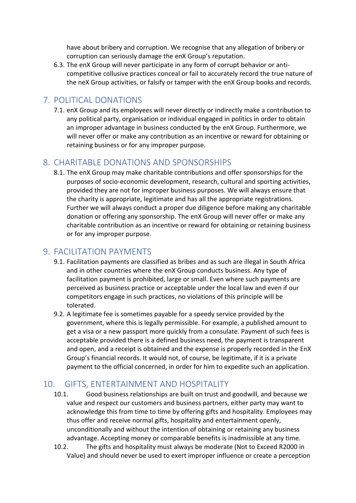have about bribery and corruption. We recognise that any allegation of bribery or corruption can seriously damage the enX Group's reputation.

6.3. The enX Group will never participate in any form of corrupt behavior or anticompetitive collusive practices conceal or fail to accurately record the true nature of the neX Group activities, or falsify or tamper with the enX Group books and records.

#### 7. POLITICAL DONATIONS

7.1. enX Group and its employees will never directly or indirectly make a contribution to any political party, organisation or individual engaged in politics in order to obtain an improper advantage in business conducted by the enX Group. Furthermore, we will never offer or make any contribution as an incentive or reward for obtaining or retaining business or for any improper purpose.

#### 8. CHARITABLE DONATIONS AND SPONSORSHIPS

8.1. The enX Group may make charitable contributions and offer sponsorships for the purposes of socio-economic development, research, cultural and sporting activities, provided they are not for improper business purposes. We will always ensure that the charity is appropriate, legitimate and has all the appropriate registrations. Further we will always conduct a proper due diligence before making any charitable donation or offering any sponsorship. The enX Group will never offer or make any charitable contribution as an incentive or reward for obtaining or retaining business or for any improper purpose.

#### 9. FACILITATION PAYMENTS

- 9.1. Facilitation payments are classified as bribes and as such are illegal in South Africa and in other countries where the enX Group conducts business. Any type of facilitation payment is prohibited, large or small. Even where such payments are perceived as business practice or acceptable under the local law and even if our competitors engage in such practices, no violations of this principle will be tolerated.
- 9.2. A legitimate fee is sometimes payable for a speedy service provided by the government, where this is legally permissible. For example, a published amount to get a visa or a new passport more quickly from a consulate. Payment of such fees is acceptable provided there is a defined business need, the payment is transparent and open, and a receipt is obtained and the expense is properly recorded in the EnX Group's financial records. It would not, of course, be legitimate, if it is a private payment to the official concerned, in order for him to expedite such an application.

## 10. GIFTS, ENTERTAINMENT AND HOSPITALITY

- 10.1. Good business relationships are built on trust and goodwill, and because we value and respect our customers and business partners, either party may want to acknowledge this from time to time by offering gifts and hospitality. Employees may thus offer and receive normal gifts, hospitality and entertainment openly, unconditionally and without the intention of obtaining or retaining any business advantage. Accepting money or comparable benefits is inadmissible at any time.
- 10.2. The gifts and hospitality must always be moderate (Not to Exceed R2000 in Value) and should never be used to exert improper influence or create a perception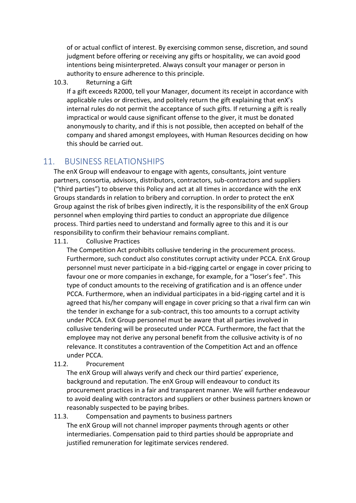of or actual conflict of interest. By exercising common sense, discretion, and sound judgment before offering or receiving any gifts or hospitality, we can avoid good intentions being misinterpreted. Always consult your manager or person in authority to ensure adherence to this principle.

#### 10.3. Returning a Gift

If a gift exceeds R2000, tell your Manager, document its receipt in accordance with applicable rules or directives, and politely return the gift explaining that enX's internal rules do not permit the acceptance of such gifts. If returning a gift is really impractical or would cause significant offense to the giver, it must be donated anonymously to charity, and if this is not possible, then accepted on behalf of the company and shared amongst employees, with Human Resources deciding on how this should be carried out.

#### 11. BUSINESS RELATIONSHIPS

The enX Group will endeavour to engage with agents, consultants, joint venture partners, consortia, advisors, distributors, contractors, sub-contractors and suppliers ("third parties") to observe this Policy and act at all times in accordance with the enX Groups standards in relation to bribery and corruption. In order to protect the enX Group against the risk of bribes given indirectly, it is the responsibility of the enX Group personnel when employing third parties to conduct an appropriate due diligence process. Third parties need to understand and formally agree to this and it is our responsibility to confirm their behaviour remains compliant.

11.1. Collusive Practices

The Competition Act prohibits collusive tendering in the procurement process. Furthermore, such conduct also constitutes corrupt activity under PCCA. EnX Group personnel must never participate in a bid-rigging cartel or engage in cover pricing to favour one or more companies in exchange, for example, for a "loser's fee". This type of conduct amounts to the receiving of gratification and is an offence under PCCA. Furthermore, when an individual participates in a bid-rigging cartel and it is agreed that his/her company will engage in cover pricing so that a rival firm can win the tender in exchange for a sub-contract, this too amounts to a corrupt activity under PCCA. EnX Group personnel must be aware that all parties involved in collusive tendering will be prosecuted under PCCA. Furthermore, the fact that the employee may not derive any personal benefit from the collusive activity is of no relevance. It constitutes a contravention of the Competition Act and an offence under PCCA.

11.2. Procurement

The enX Group will always verify and check our third parties' experience, background and reputation. The enX Group will endeavour to conduct its procurement practices in a fair and transparent manner. We will further endeavour to avoid dealing with contractors and suppliers or other business partners known or reasonably suspected to be paying bribes.

11.3. Compensation and payments to business partners The enX Group will not channel improper payments through agents or other intermediaries. Compensation paid to third parties should be appropriate and justified remuneration for legitimate services rendered.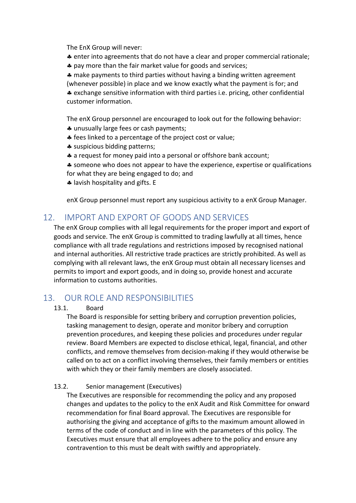The EnX Group will never:

- enter into agreements that do not have a clear and proper commercial rationale;
- \* pay more than the fair market value for goods and services;

\* make payments to third parties without having a binding written agreement (whenever possible) in place and we know exactly what the payment is for; and exchange sensitive information with third parties i.e. pricing, other confidential customer information.

The enX Group personnel are encouraged to look out for the following behavior:

- \* unusually large fees or cash payments;
- **#** fees linked to a percentage of the project cost or value;
- suspicious bidding patterns;
- a request for money paid into a personal or offshore bank account;

 someone who does not appear to have the experience, expertise or qualifications for what they are being engaged to do; and

**4** lavish hospitality and gifts. E

enX Group personnel must report any suspicious activity to a enX Group Manager.

#### 12. IMPORT AND EXPORT OF GOODS AND SERVICES

The enX Group complies with all legal requirements for the proper import and export of goods and service. The enX Group is committed to trading lawfully at all times, hence compliance with all trade regulations and restrictions imposed by recognised national and internal authorities. All restrictive trade practices are strictly prohibited. As well as complying with all relevant laws, the enX Group must obtain all necessary licenses and permits to import and export goods, and in doing so, provide honest and accurate information to customs authorities.

#### 13. OUR ROLE AND RESPONSIBILITIES

#### 13.1. Board

The Board is responsible for setting bribery and corruption prevention policies, tasking management to design, operate and monitor bribery and corruption prevention procedures, and keeping these policies and procedures under regular review. Board Members are expected to disclose ethical, legal, financial, and other conflicts, and remove themselves from decision-making if they would otherwise be called on to act on a conflict involving themselves, their family members or entities with which they or their family members are closely associated.

#### 13.2. Senior management (Executives)

The Executives are responsible for recommending the policy and any proposed changes and updates to the policy to the enX Audit and Risk Committee for onward recommendation for final Board approval. The Executives are responsible for authorising the giving and acceptance of gifts to the maximum amount allowed in terms of the code of conduct and in line with the parameters of this policy. The Executives must ensure that all employees adhere to the policy and ensure any contravention to this must be dealt with swiftly and appropriately.